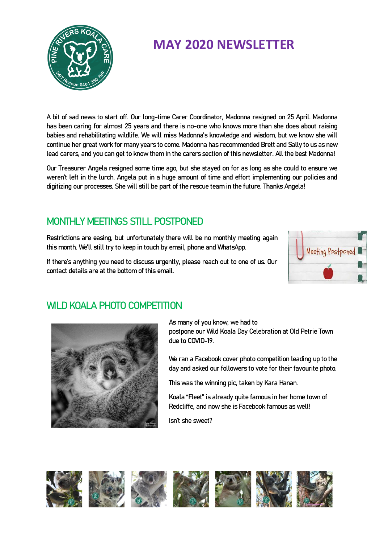

# **MAY 2020 NEWSLETTER**

A bit of sad news to start off. Our long-time Carer Coordinator, Madonna resigned on 25 April. Madonna has been caring for almost 25 years and there is no-one who knows more than she does about raising babies and rehabilitating wildlife. We will miss Madonna's knowledge and wisdom, but we know she will continue her great work for many years to come. Madonna has recommended Brett and Sally to us as new lead carers, and you can get to know them in the carers section of this newsletter. All the best Madonna!

Our Treasurer Angela resigned some time ago, but she stayed on for as long as she could to ensure we weren't left in the lurch. Angela put in a huge amount of time and effort implementing our policies and digitizing our processes. She will still be part of the rescue team in the future. Thanks Angela!

### MONTHLY MEETINGS STILL POSTPONED

Restrictions are easing, but unfortunately there will be no monthly meeting again this month. We'll still try to keep in touch by email, phone and WhatsApp.

If there's anything you need to discuss urgently, please reach out to one of us. Our contact details are at the bottom of this email.



# WILD KOALA PHOTO COMPETITION



As many of you know, we had to postpone our Wild Koala Day Celebration at Old Petrie Town due to COVID-19.

We ran a Facebook cover photo competition leading up to the day and asked our followers to vote for their favourite photo.

This was the winning pic, taken by Kara Hanan.

Koala "Fleet" is already quite famous in her home town of Redcliffe, and now she is Facebook famous as well!

Isn't she sweet?

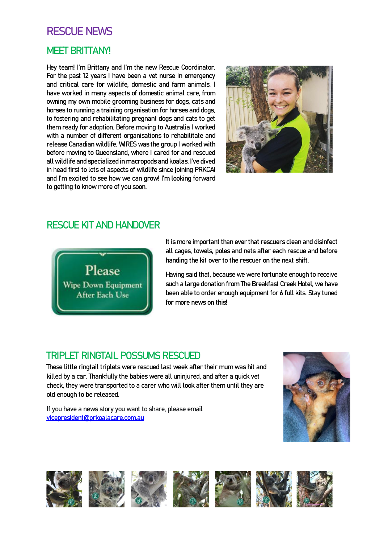# RESCUE NEWS

#### MEET BRITTANY!

Hey team! I'm Brittany and I'm the new Rescue Coordinator. For the past 12 years I have been a vet nurse in emergency and critical care for wildlife, domestic and farm animals. I have worked in many aspects of domestic animal care, from owning my own mobile grooming business for dogs, cats and horses to running a training organisation for horses and dogs, to fostering and rehabilitating pregnant dogs and cats to get them ready for adoption. Before moving to Australia I worked with a number of different organisations to rehabilitate and release Canadian wildlife. WIRES was the group I worked with before moving to Queensland, where I cared for and rescued all wildlife and specialized in macropods and koalas. I've dived in head first to lots of aspects of wildlife since joining PRKCAI and I'm excited to see how we can grow! I'm looking forward to getting to know more of you soon.



#### RESCUE KIT AND HANDOVER



It is more important than ever that rescuers clean and disinfect all cages, towels, poles and nets after each rescue and before handing the kit over to the rescuer on the next shift.

Having said that, because we were fortunate enough to receive such a large donation from The Breakfast Creek Hotel, we have been able to order enough equipment for 6 full kits. Stay tuned for more news on this!

#### TRIPLET RINGTAIL POSSUMS RESCUED

These little ringtail triplets were rescued last week after their mum was hit and killed by a car. Thankfully the babies were all uninjured, and after a quick vet check, they were transported to a carer who will look after them until they are old enough to be released.

If you have a news story you want to share, please email [vicepresident@prkoalacare.com.au](mailto:vicepresident@prkoalacare.com.au)



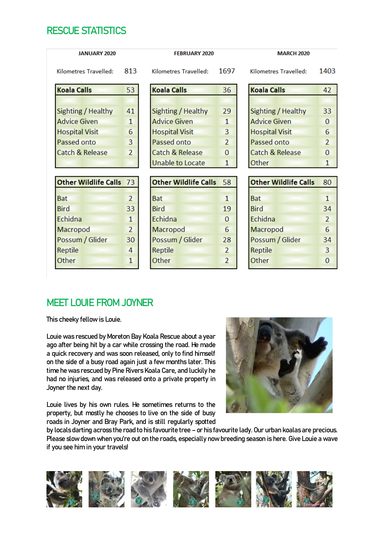#### RESCUE STATISTICS

| <b>JANUARY 2020</b>     |                | <b>FEBRUARY 2020</b>        |                | <b>MARCH 2020</b>           |                |
|-------------------------|----------------|-----------------------------|----------------|-----------------------------|----------------|
| Kilometres Travelled:   | 813            | Kilometres Travelled:       | 1697           | Kilometres Travelled:       | 1403           |
| <b>Koala Calls</b>      | 53             | <b>Koala Calls</b>          | 36             | <b>Koala Calls</b>          | 42             |
| Sighting / Healthy      | 41             | Sighting / Healthy          | 29             | Sighting / Healthy          | 33             |
| <b>Advice Given</b>     | $\mathbf{1}$   | <b>Advice Given</b>         | $\mathbf{1}$   | <b>Advice Given</b>         | $\Omega$       |
| <b>Hospital Visit</b>   | 6              | <b>Hospital Visit</b>       | 3              | <b>Hospital Visit</b>       | 6              |
| Passed onto             | 3              | Passed onto                 | $\overline{2}$ | Passed onto                 | $\overline{2}$ |
| Catch & Release         | $\overline{2}$ | Catch & Release             | $\Omega$       | Catch & Release             | $\Omega$       |
|                         |                | <b>Unable to Locate</b>     | $\mathbf{1}$   | Other                       | 1              |
| Other Wildlife Calls 73 |                | <b>Other Wildlife Calls</b> | 58             | <b>Other Wildlife Calls</b> | 80             |
|                         |                |                             |                |                             |                |
| <b>Bat</b>              | $\overline{2}$ | <b>Bat</b>                  | $\mathbf{1}$   | <b>Bat</b>                  | $\mathbf{1}$   |
| <b>Bird</b>             | 33             | <b>Bird</b>                 | 19             | <b>Bird</b>                 | 34             |
| Echidna                 | $\mathbf{1}$   | Echidna                     | 0              | Echidna                     | $\overline{2}$ |
| Macropod                | $\overline{2}$ | Macropod                    | 6              | Macropod                    | 6              |
| Possum / Glider         | 30             | Possum / Glider             | 28             | Possum / Glider             | 34             |
| Reptile                 | 4              | Reptile                     | $\overline{2}$ | Reptile                     | 3              |
|                         |                | Other                       | 2              | Other                       | 0              |

### MEET LOUIE FROM JOYNER

This cheeky fellow is Louie.

Louie was rescued by Moreton Bay Koala Rescue about a year ago after being hit by a car while crossing the road. He made a quick recovery and was soon released, only to find himself on the side of a busy road again just a few months later. This time he was rescued by Pine Rivers Koala Care, and luckily he had no injuries, and was released onto a private property in Joyner the next day.

Louie lives by his own rules. He sometimes returns to the property, but mostly he chooses to live on the side of busy roads in Joyner and Bray Park, and is still regularly spotted



by locals darting across the road to his favourite tree – or his favourite lady. Our urban koalas are precious. Please slow down when you're out on the roads, especially now breeding season is here. Give Louie a wave if you see him in your travels!

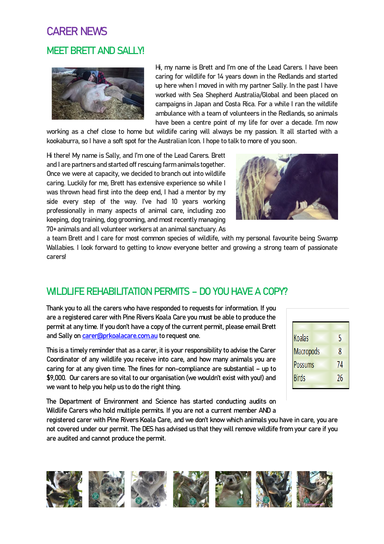# CARER NEWS MEET BRETT AND SALLY!



Hi, my name is Brett and I'm one of the Lead Carers. I have been caring for wildlife for 14 years down in the Redlands and started up here when I moved in with my partner Sally. In the past I have worked with Sea Shepherd Australia/Global and been placed on campaigns in Japan and Costa Rica. For a while I ran the wildlife ambulance with a team of volunteers in the Redlands, so animals have been a centre point of my life for over a decade. I'm now

working as a chef close to home but wildlife caring will always be my passion. It all started with a kookaburra, so I have a soft spot for the Australian Icon. I hope to talk to more of you soon.

Hi there! My name is Sally, and I'm one of the Lead Carers. Brett and I are partners and started off rescuing farm animals together. Once we were at capacity, we decided to branch out into wildlife caring. Luckily for me, Brett has extensive experience so while I was thrown head first into the deep end, I had a mentor by my side every step of the way. I've had 10 years working professionally in many aspects of animal care, including zoo keeping, dog training, dog grooming, and most recently managing 70+ animals and all volunteer workers at an animal sanctuary. As



a team Brett and I care for most common species of wildlife, with my personal favourite being Swamp Wallabies. I look forward to getting to know everyone better and growing a strong team of passionate carers!

# WILDLIFE REHABILITATION PERMITS – DO YOU HAVE A COPY?

Thank you to all the carers who have responded to requests for information. If you are a registered carer with Pine Rivers Koala Care you must be able to produce the permit at any time. If you don't have a copy of the current permit, please email Brett and Sally on **carer@prkoalacare.com.au** to request one.

This is a timely reminder that as a carer, it is your responsibility to advise the Carer Coordinator of any wildlife you receive into care, and how many animals you are caring for at any given time. The fines for non-compliance are substantial – up to \$9,000. Our carers are so vital to our organisation (we wouldn't exist with you!) and we want to help you help us to do the right thing.

are audited and cannot produce the permit.

| Koalas       | 5  |
|--------------|----|
| Macropods    | 8  |
| Possums      | 74 |
| <b>Birds</b> | 26 |
|              |    |

The Department of Environment and Science has started conducting audits on Wildlife Carers who hold multiple permits. If you are not a current member AND a registered carer with Pine Rivers Koala Care, and we don't know which animals you have in care, you are not covered under our permit. The DES has advised us that they will remove wildlife from your care if you